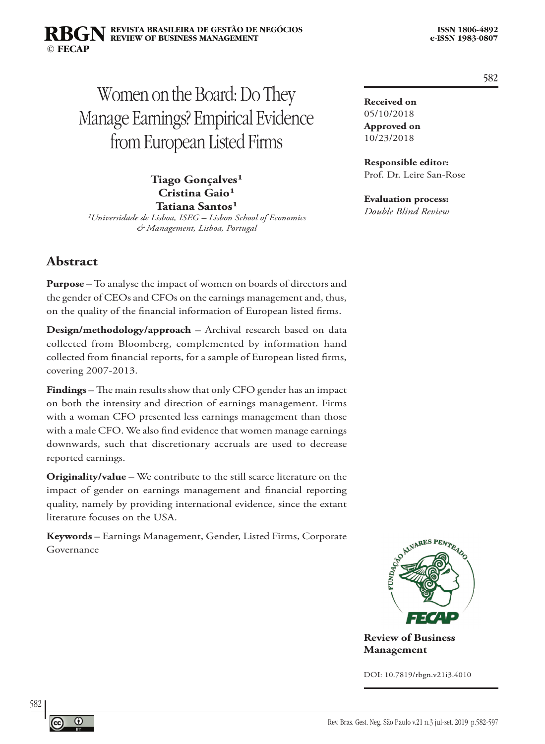#### **REVISTA BRASILEIRA DE GESTÃO DE NEGÓCIOS ISSN 1806-4892 REVIEW OF BUSINESS MANAGEMENT © FECAP RBGN**

# Women on the Board: Do They Manage Earnings? Empirical Evidence from European Listed Firms

**Tiago Gonçalves**<sup>1</sup> Cristina Gaio<sup>1</sup> Tatiana Santos<sup>1</sup>

*¹Universidade de Lisboa, ISEG – Lisbon School of Economics & Management, Lisboa, Portugal*

# **Abstract**

**Purpose** – To analyse the impact of women on boards of directors and the gender of CEOs and CFOs on the earnings management and, thus, on the quality of the financial information of European listed firms.

**Design/methodology/approach** – Archival research based on data collected from Bloomberg, complemented by information hand collected from financial reports, for a sample of European listed firms, covering 2007-2013.

**Findings** – The main results show that only CFO gender has an impact on both the intensity and direction of earnings management. Firms with a woman CFO presented less earnings management than those with a male CFO. We also find evidence that women manage earnings downwards, such that discretionary accruals are used to decrease reported earnings.

**Originality/value** – We contribute to the still scarce literature on the impact of gender on earnings management and financial reporting quality, namely by providing international evidence, since the extant literature focuses on the USA.

**Keywords –** Earnings Management, Gender, Listed Firms, Corporate Governance

**Received on** 05/10/2018 **Approved on** 10/23/2018

**Responsible editor:**  Prof. Dr. Leire San-Rose

**Evaluation process:** 

*Double Blind Review*



**Review of Business Management**

DOI: 10.7819/rbgn.v21i3.4010



582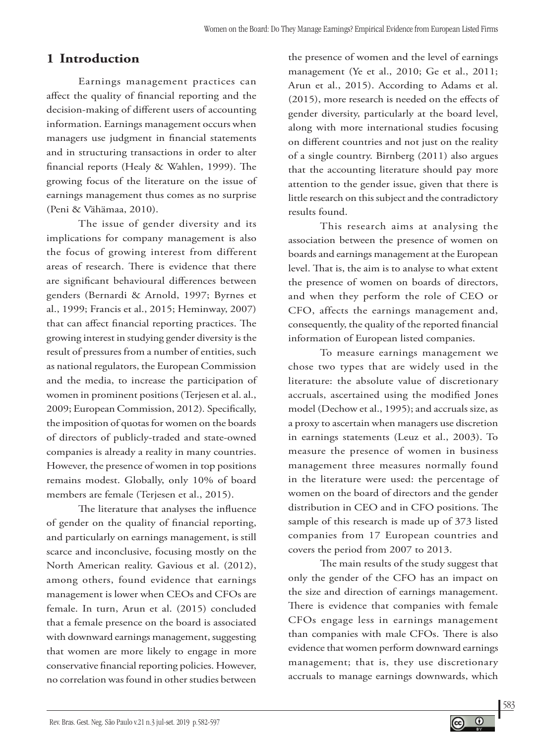# **1 Introduction**

Earnings management practices can affect the quality of financial reporting and the decision-making of different users of accounting information. Earnings management occurs when managers use judgment in financial statements and in structuring transactions in order to alter financial reports (Healy & Wahlen, 1999). The growing focus of the literature on the issue of earnings management thus comes as no surprise (Peni & Vähämaa, 2010).

The issue of gender diversity and its implications for company management is also the focus of growing interest from different areas of research. There is evidence that there are significant behavioural differences between genders (Bernardi & Arnold, 1997; Byrnes et al., 1999; Francis et al., 2015; Heminway, 2007) that can affect financial reporting practices. The growing interest in studying gender diversity is the result of pressures from a number of entities, such as national regulators, the European Commission and the media, to increase the participation of women in prominent positions (Terjesen et al. al., 2009; European Commission, 2012)*.* Specifically, the imposition of quotas for women on the boards of directors of publicly-traded and state-owned companies is already a reality in many countries. However, the presence of women in top positions remains modest. Globally, only 10% of board members are female (Terjesen et al., 2015).

The literature that analyses the influence of gender on the quality of financial reporting, and particularly on earnings management, is still scarce and inconclusive, focusing mostly on the North American reality. Gavious et al. (2012), among others, found evidence that earnings management is lower when CEOs and CFOs are female. In turn, Arun et al. (2015) concluded that a female presence on the board is associated with downward earnings management, suggesting that women are more likely to engage in more conservative financial reporting policies. However, no correlation was found in other studies between

the presence of women and the level of earnings management (Ye et al., 2010; Ge et al., 2011; Arun et al., 2015). According to Adams et al. (2015), more research is needed on the effects of gender diversity, particularly at the board level, along with more international studies focusing on different countries and not just on the reality of a single country. Birnberg (2011) also argues that the accounting literature should pay more attention to the gender issue, given that there is little research on this subject and the contradictory results found.

This research aims at analysing the association between the presence of women on boards and earnings management at the European level. That is, the aim is to analyse to what extent the presence of women on boards of directors, and when they perform the role of CEO or CFO, affects the earnings management and, consequently, the quality of the reported financial information of European listed companies.

To measure earnings management we chose two types that are widely used in the literature: the absolute value of discretionary accruals, ascertained using the modified Jones model (Dechow et al., 1995); and accruals size, as a proxy to ascertain when managers use discretion in earnings statements (Leuz et al., 2003). To measure the presence of women in business management three measures normally found in the literature were used: the percentage of women on the board of directors and the gender distribution in CEO and in CFO positions. The sample of this research is made up of 373 listed companies from 17 European countries and covers the period from 2007 to 2013.

The main results of the study suggest that only the gender of the CFO has an impact on the size and direction of earnings management. There is evidence that companies with female CFOs engage less in earnings management than companies with male CFOs. There is also evidence that women perform downward earnings management; that is, they use discretionary accruals to manage earnings downwards, which

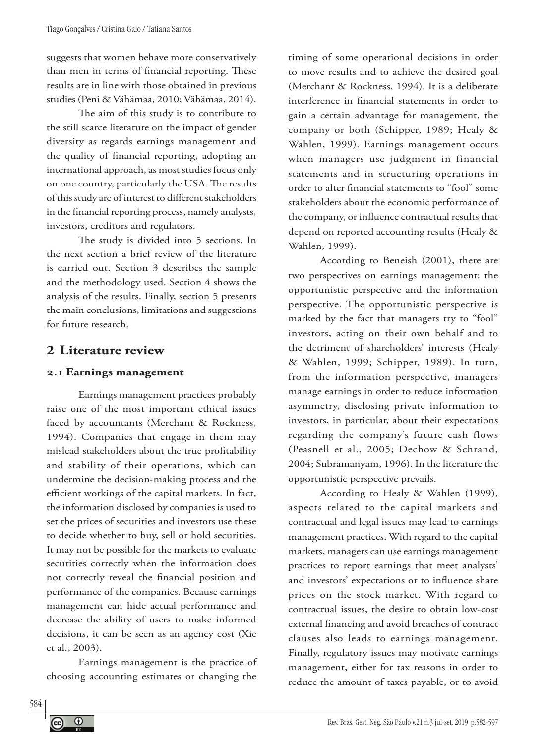suggests that women behave more conservatively than men in terms of financial reporting. These results are in line with those obtained in previous studies (Peni & Vähämaa, 2010; Vähämaa, 2014).

The aim of this study is to contribute to the still scarce literature on the impact of gender diversity as regards earnings management and the quality of financial reporting, adopting an international approach, as most studies focus only on one country, particularly the USA. The results of this study are of interest to different stakeholders in the financial reporting process, namely analysts, investors, creditors and regulators.

The study is divided into 5 sections. In the next section a brief review of the literature is carried out. Section 3 describes the sample and the methodology used. Section 4 shows the analysis of the results. Finally, section 5 presents the main conclusions, limitations and suggestions for future research.

# **2 Literature review**

### **2.1 Earnings management**

Earnings management practices probably raise one of the most important ethical issues faced by accountants (Merchant & Rockness, 1994). Companies that engage in them may mislead stakeholders about the true profitability and stability of their operations, which can undermine the decision-making process and the efficient workings of the capital markets. In fact, the information disclosed by companies is used to set the prices of securities and investors use these to decide whether to buy, sell or hold securities. It may not be possible for the markets to evaluate securities correctly when the information does not correctly reveal the financial position and performance of the companies. Because earnings management can hide actual performance and decrease the ability of users to make informed decisions, it can be seen as an agency cost (Xie et al., 2003).

Earnings management is the practice of choosing accounting estimates or changing the

timing of some operational decisions in order to move results and to achieve the desired goal (Merchant & Rockness, 1994). It is a deliberate interference in financial statements in order to gain a certain advantage for management, the company or both (Schipper, 1989; Healy & Wahlen, 1999). Earnings management occurs when managers use judgment in financial statements and in structuring operations in order to alter financial statements to "fool" some stakeholders about the economic performance of the company, or influence contractual results that depend on reported accounting results (Healy & Wahlen, 1999).

According to Beneish (2001), there are two perspectives on earnings management: the opportunistic perspective and the information perspective. The opportunistic perspective is marked by the fact that managers try to "fool" investors, acting on their own behalf and to the detriment of shareholders' interests (Healy & Wahlen, 1999; Schipper, 1989). In turn, from the information perspective, managers manage earnings in order to reduce information asymmetry, disclosing private information to investors, in particular, about their expectations regarding the company's future cash flows (Peasnell et al., 2005; Dechow & Schrand, 2004; Subramanyam, 1996). In the literature the opportunistic perspective prevails.

According to Healy & Wahlen (1999), aspects related to the capital markets and contractual and legal issues may lead to earnings management practices. With regard to the capital markets, managers can use earnings management practices to report earnings that meet analysts' and investors' expectations or to influence share prices on the stock market. With regard to contractual issues, the desire to obtain low-cost external financing and avoid breaches of contract clauses also leads to earnings management. Finally, regulatory issues may motivate earnings management, either for tax reasons in order to reduce the amount of taxes payable, or to avoid

 $\odot$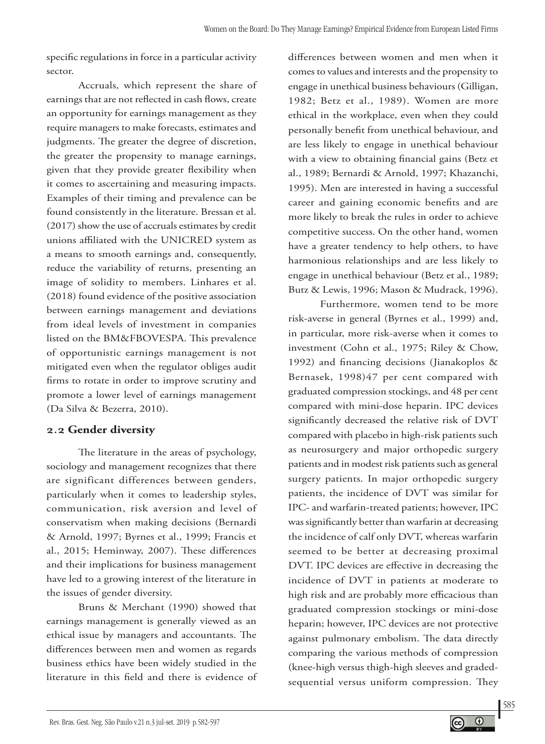specific regulations in force in a particular activity sector.

Accruals*,* which represent the share of earnings that are not reflected in cash flows, create an opportunity for earnings management as they require managers to make forecasts, estimates and judgments. The greater the degree of discretion, the greater the propensity to manage earnings, given that they provide greater flexibility when it comes to ascertaining and measuring impacts. Examples of their timing and prevalence can be found consistently in the literature. Bressan et al. (2017) show the use of accruals estimates by credit unions affiliated with the UNICRED system as a means to smooth earnings and, consequently, reduce the variability of returns, presenting an image of solidity to members. Linhares et al. (2018) found evidence of the positive association between earnings management and deviations from ideal levels of investment in companies listed on the BM&FBOVESPA. This prevalence of opportunistic earnings management is not mitigated even when the regulator obliges audit firms to rotate in order to improve scrutiny and promote a lower level of earnings management (Da Silva & Bezerra, 2010).

# **2.2 Gender diversity**

The literature in the areas of psychology, sociology and management recognizes that there are significant differences between genders, particularly when it comes to leadership styles, communication, risk aversion and level of conservatism when making decisions (Bernardi & Arnold, 1997; Byrnes et al., 1999; Francis et al., 2015; Heminway, 2007). These differences and their implications for business management have led to a growing interest of the literature in the issues of gender diversity.

Bruns & Merchant (1990) showed that earnings management is generally viewed as an ethical issue by managers and accountants. The differences between men and women as regards business ethics have been widely studied in the literature in this field and there is evidence of differences between women and men when it comes to values and interests and the propensity to engage in unethical business behaviours (Gilligan, 1982; Betz et al., 1989). Women are more ethical in the workplace, even when they could personally benefit from unethical behaviour, and are less likely to engage in unethical behaviour with a view to obtaining financial gains (Betz et al., 1989; Bernardi & Arnold, 1997; Khazanchi, 1995). Men are interested in having a successful career and gaining economic benefits and are more likely to break the rules in order to achieve competitive success. On the other hand, women have a greater tendency to help others, to have harmonious relationships and are less likely to engage in unethical behaviour (Betz et al., 1989; Butz & Lewis, 1996; Mason & Mudrack, 1996).

Furthermore, women tend to be more risk-averse in general (Byrnes et al., 1999) and, in particular, more risk-averse when it comes to investment (Cohn et al., 1975; Riley & Chow, 1992) and financing decisions (Jianakoplos & Bernasek, 1998)47 per cent compared with graduated compression stockings, and 48 per cent compared with mini-dose heparin. IPC devices significantly decreased the relative risk of DVT compared with placebo in high-risk patients such as neurosurgery and major orthopedic surgery patients and in modest risk patients such as general surgery patients. In major orthopedic surgery patients, the incidence of DVT was similar for IPC- and warfarin-treated patients; however, IPC was significantly better than warfarin at decreasing the incidence of calf only DVT, whereas warfarin seemed to be better at decreasing proximal DVT. IPC devices are effective in decreasing the incidence of DVT in patients at moderate to high risk and are probably more efficacious than graduated compression stockings or mini-dose heparin; however, IPC devices are not protective against pulmonary embolism. The data directly comparing the various methods of compression (knee-high versus thigh-high sleeves and gradedsequential versus uniform compression. They

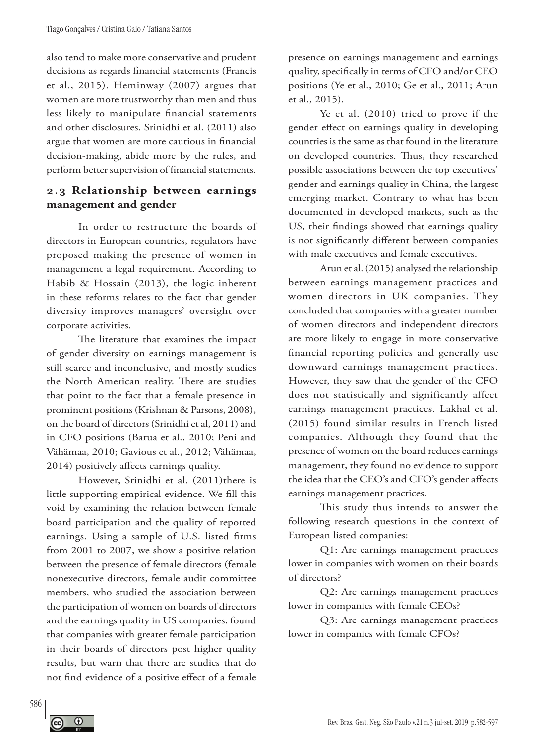also tend to make more conservative and prudent decisions as regards financial statements (Francis et al., 2015). Heminway (2007) argues that women are more trustworthy than men and thus less likely to manipulate financial statements and other disclosures. Srinidhi et al. (2011) also argue that women are more cautious in financial decision-making, abide more by the rules, and perform better supervision of financial statements.

# **2.3 Relationship between earnings management and gender**

In order to restructure the boards of directors in European countries, regulators have proposed making the presence of women in management a legal requirement. According to Habib & Hossain (2013), the logic inherent in these reforms relates to the fact that gender diversity improves managers' oversight over corporate activities.

The literature that examines the impact of gender diversity on earnings management is still scarce and inconclusive, and mostly studies the North American reality. There are studies that point to the fact that a female presence in prominent positions (Krishnan & Parsons, 2008), on the board of directors (Srinidhi et al, 2011) and in CFO positions (Barua et al., 2010; Peni and Vähämaa, 2010; Gavious et al., 2012; Vähämaa, 2014) positively affects earnings quality.

However, Srinidhi et al. (2011)there is little supporting empirical evidence. We fill this void by examining the relation between female board participation and the quality of reported earnings. Using a sample of U.S. listed firms from 2001 to 2007, we show a positive relation between the presence of female directors (female nonexecutive directors, female audit committee members, who studied the association between the participation of women on boards of directors and the earnings quality in US companies, found that companies with greater female participation in their boards of directors post higher quality results, but warn that there are studies that do not find evidence of a positive effect of a female

presence on earnings management and earnings quality, specifically in terms of CFO and/or CEO positions (Ye et al., 2010; Ge et al., 2011; Arun et al., 2015).

Ye et al. (2010) tried to prove if the gender effect on earnings quality in developing countries is the same as that found in the literature on developed countries. Thus, they researched possible associations between the top executives' gender and earnings quality in China, the largest emerging market. Contrary to what has been documented in developed markets, such as the US, their findings showed that earnings quality is not significantly different between companies with male executives and female executives.

Arun et al. (2015) analysed the relationship between earnings management practices and women directors in UK companies. They concluded that companies with a greater number of women directors and independent directors are more likely to engage in more conservative financial reporting policies and generally use downward earnings management practices. However, they saw that the gender of the CFO does not statistically and significantly affect earnings management practices. Lakhal et al. (2015) found similar results in French listed companies. Although they found that the presence of women on the board reduces earnings management, they found no evidence to support the idea that the CEO's and CFO's gender affects earnings management practices.

This study thus intends to answer the following research questions in the context of European listed companies:

Q1: Are earnings management practices lower in companies with women on their boards of directors?

Q2: Are earnings management practices lower in companies with female CEOs?

Q3: Are earnings management practices lower in companies with female CFOs?

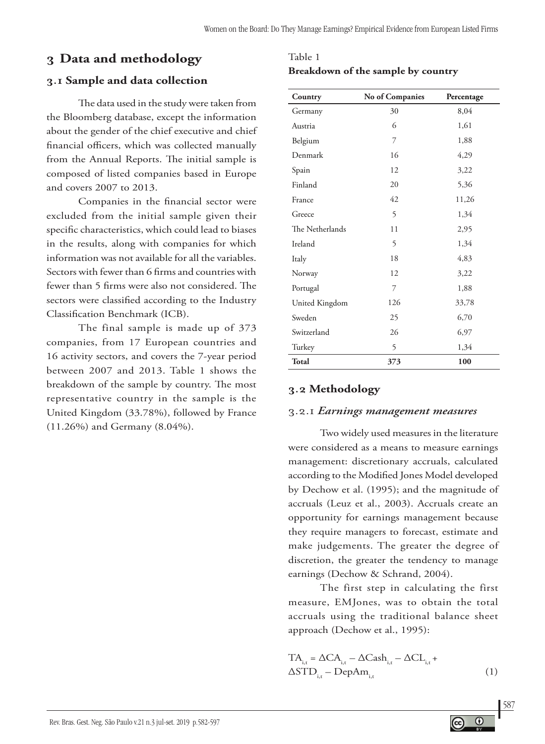# **3 Data and methodology**

### **3.1 Sample and data collection**

The data used in the study were taken from the Bloomberg database, except the information about the gender of the chief executive and chief financial officers, which was collected manually from the Annual Reports. The initial sample is composed of listed companies based in Europe and covers 2007 to 2013.

Companies in the financial sector were excluded from the initial sample given their specific characteristics, which could lead to biases in the results, along with companies for which information was not available for all the variables. Sectors with fewer than 6 firms and countries with fewer than 5 firms were also not considered. The sectors were classified according to the Industry Classification Benchmark (ICB).

The final sample is made up of 373 companies, from 17 European countries and 16 activity sectors, and covers the 7-year period between 2007 and 2013. Table 1 shows the breakdown of the sample by country. The most representative country in the sample is the United Kingdom (33.78%), followed by France (11.26%) and Germany (8.04%).

| Country         | No of Companies | Percentage |
|-----------------|-----------------|------------|
| Germany         | 30              | 8,04       |
| Austria         | 6               | 1,61       |
| Belgium         | 7               | 1,88       |
| Denmark         | 16              | 4,29       |
| Spain           | 12              | 3,22       |
| Finland         | 20              | 5,36       |
| France          | 42              | 11,26      |
| Greece          | 5               | 1,34       |
| The Netherlands | 11              | 2,95       |
| Ireland         | 5               | 1,34       |
| Italy           | 18              | 4,83       |
| Norway          | 12              | 3,22       |
| Portugal        | 7               | 1,88       |
| United Kingdom  | 126             | 33,78      |
| Sweden          | 25              | 6,70       |
| Switzerland     | 26              | 6,97       |
| Turkey          | 5               | 1,34       |
| <b>Total</b>    | 373             | 100        |

### Table 1

#### **Breakdown of the sample by country**

# **3.2 Methodology**

#### 3.2.1 *Earnings management measures*

Two widely used measures in the literature were considered as a means to measure earnings management: discretionary accruals, calculated according to the Modified Jones Model developed by Dechow et al. (1995); and the magnitude of accruals (Leuz et al., 2003). Accruals create an opportunity for earnings management because they require managers to forecast, estimate and make judgements. The greater the degree of discretion, the greater the tendency to manage earnings (Dechow & Schrand, 2004).

The first step in calculating the first measure, EMJones, was to obtain the total accruals using the traditional balance sheet approach (Dechow et al., 1995):

$$
TA_{i,t} = \Delta CA_{i,t} - \Delta Cash_{i,t} - \Delta CL_{i,t} + \Delta STD_{i,t} - DepAm_{i,t}
$$
\n(1)

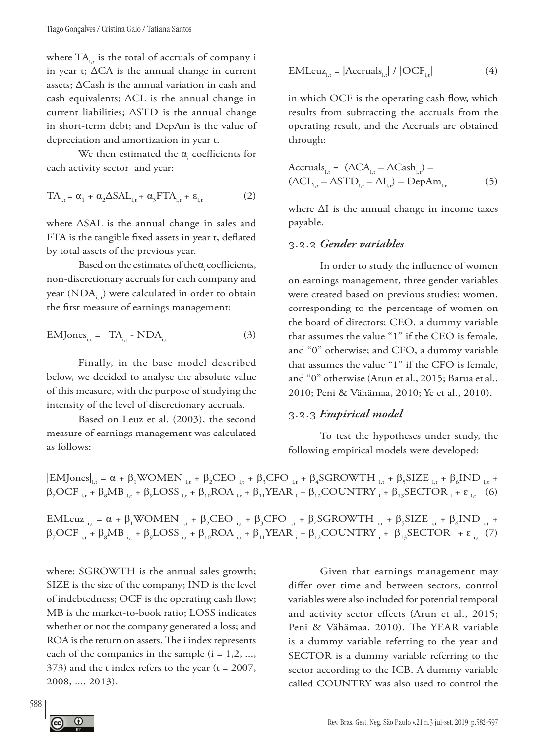where  $TA_{i,t}$  is the total of accruals of company i in year t; ∆CA is the annual change in current assets; ∆Cash is the annual variation in cash and cash equivalents; ∆CL is the annual change in current liabilities; ∆STD is the annual change in short-term debt; and DepAm is the value of depreciation and amortization in year t.

We then estimated the  $\alpha_{\rm i}$  coefficients for each activity sector and year:

$$
TA_{i,t} = \alpha_1 + \alpha_2 \Delta SAL_{i,t} + \alpha_3 FTA_{i,t} + \varepsilon_{i,t}
$$
 (2)

where ∆SAL is the annual change in sales and FTA is the tangible fixed assets in year t, deflated by total assets of the previous year.

Based on the estimates of the  $\alpha$  coefficients, non-discretionary accruals for each company and year  $(NDA_i)$ , were calculated in order to obtain the first measure of earnings management:

$$
EMJones_{i,t} = TA_{i,t} - NDA_{i,t}
$$
 (3)

Finally, in the base model described below, we decided to analyse the absolute value of this measure, with the purpose of studying the intensity of the level of discretionary accruals.

Based on Leuz et al. (2003), the second measure of earnings management was calculated as follows:

$$
EMLeuz_{i,t} = |Accruals_{i,t}| / |OCF_{i,t}|
$$
 (4)

in which OCF is the operating cash flow, which results from subtracting the accruals from the operating result, and the Accruals are obtained through:

$$
Accruals_{i,t} = (\Delta CA_{i,t} - \Delta Cash_{i,t}) -
$$
  

$$
(\Delta CL_{i,t} - \Delta STD_{i,t} - \Delta I_{i,t}) - DepAm_{i,t}
$$
 (5)

where ∆I is the annual change in income taxes payable.

#### 3.2.2 *Gender variables*

In order to study the influence of women on earnings management, three gender variables were created based on previous studies: women, corresponding to the percentage of women on the board of directors; CEO, a dummy variable that assumes the value "1" if the CEO is female, and "0" otherwise; and CFO, a dummy variable that assumes the value "1" if the CFO is female, and "0" otherwise (Arun et al., 2015; Barua et al., 2010; Peni & Vähämaa, 2010; Ye et al., 2010).

### 3.2.3 *Empirical model*

To test the hypotheses under study, the following empirical models were developed:

$$
\begin{aligned}[EMJones]_{i,t} &= \alpha + \beta_1 WOMEN_{i,t} + \beta_2 CEO_{i,t} + \beta_3 CFO_{i,t} + \beta_4 SGROWTH_{i,t} + \beta_5 SIZE_{i,t} + \beta_6 IND_{i,t} + \\ & \beta_7 OCF_{i,t} + \beta_8 MB_{i,t} + \beta_9 LOSS_{i,t} + \beta_{10} ROA_{i,t} + \beta_{11} YEAR_{i} + \beta_{12} COUNTRY_{i} + \beta_{13} SECTOR_{i} + \epsilon_{i,t} \end{aligned} \tag{6}
$$

EMLeuz<sub>i,t</sub> = α + β<sub>1</sub>WOMEN<sub>i,t</sub> + β<sub>2</sub>CEO<sub>i,t</sub> + β<sub>3</sub>CFO<sub>i,t</sub> + β<sub>4</sub>SGROWTH<sub>i,t</sub> + β<sub>5</sub>SIZE<sub>i,t</sub> + β<sub>6</sub>IND<sub>i,t</sub> +  $\beta_7 OCF$ <sub>i,t</sub> +  $\beta_8 MB$ <sub>i,t</sub> +  $\beta_9 LOSS$ <sub>i,t</sub> +  $\beta_{10} ROA$ <sub>i,t</sub> +  $\beta_{11} YEAR$ <sub>i</sub> +  $\beta_{12} COUNTRY$ <sub>i</sub> +  $\beta_{13} SECTOR$ <sub>i</sub> +  $\varepsilon$ <sub>i,t</sub> (7)

where: SGROWTH is the annual sales growth; SIZE is the size of the company; IND is the level of indebtedness; OCF is the operating cash flow; MB is the market-to-book ratio; LOSS indicates whether or not the company generated a loss; and ROA is the return on assets. The i index represents each of the companies in the sample  $(i = 1, 2, ...,$  $373$ ) and the t index refers to the year (t = 2007, 2008, ..., 2013).

Given that earnings management may differ over time and between sectors, control variables were also included for potential temporal and activity sector effects (Arun et al., 2015; Peni & Vähämaa, 2010). The YEAR variable is a dummy variable referring to the year and SECTOR is a dummy variable referring to the sector according to the ICB. A dummy variable called COUNTRY was also used to control the

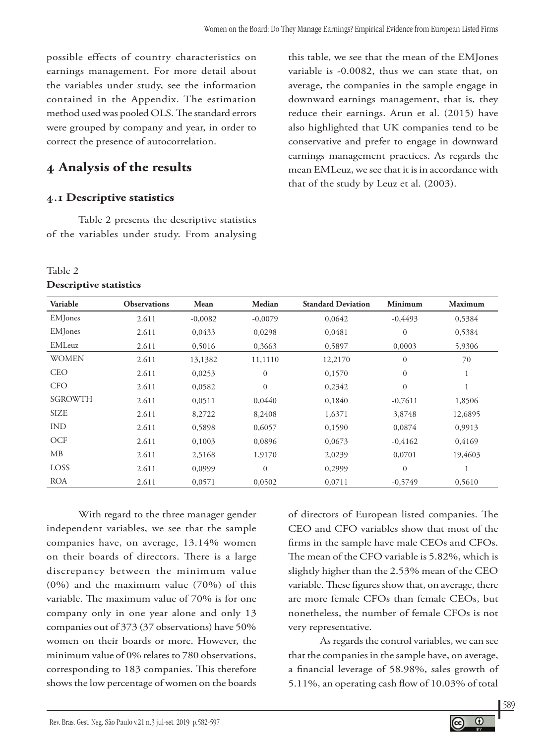possible effects of country characteristics on earnings management. For more detail about the variables under study, see the information contained in the Appendix. The estimation method used was pooled OLS.The standard errors were grouped by company and year, in order to correct the presence of autocorrelation.

# **4 Analysis of the results**

### **4.1 Descriptive statistics**

Table 2 presents the descriptive statistics of the variables under study. From analysing

#### Table 2

#### **Descriptive statistics**

this table, we see that the mean of the EMJones variable is -0.0082, thus we can state that, on average, the companies in the sample engage in downward earnings management, that is, they reduce their earnings. Arun et al. (2015) have also highlighted that UK companies tend to be conservative and prefer to engage in downward earnings management practices. As regards the mean EMLeuz, we see that it is in accordance with that of the study by Leuz et al. (2003).

| Variable        | <b>Observations</b> | Mean      | Median           | <b>Standard Deviation</b> | Minimum        | <b>Maximum</b> |
|-----------------|---------------------|-----------|------------------|---------------------------|----------------|----------------|
| <b>EM</b> Jones | 2.611               | $-0.0082$ | $-0,0079$        | 0.0642                    | $-0,4493$      | 0,5384         |
| <b>EM</b> Jones | 2.611               | 0,0433    | 0,0298           | 0,0481                    | $\mathbf{0}$   | 0,5384         |
| EMLeuz          | 2.611               | 0,5016    | 0,3663           | 0,5897                    | 0,0003         | 5,9306         |
| <b>WOMEN</b>    | 2.611               | 13,1382   | 11,1110          | 12,2170                   | $\mathbf{0}$   | 70             |
| <b>CEO</b>      | 2.611               | 0,0253    | $\boldsymbol{0}$ | 0,1570                    | $\overline{0}$ | $\perp$        |
| <b>CFO</b>      | 2.611               | 0,0582    | $\mathbf{0}$     | 0,2342                    | $\theta$       |                |
| <b>SGROWTH</b>  | 2.611               | 0,0511    | 0,0440           | 0,1840                    | $-0,7611$      | 1,8506         |
| <b>SIZE</b>     | 2.611               | 8,2722    | 8,2408           | 1,6371                    | 3,8748         | 12,6895        |
| <b>IND</b>      | 2.611               | 0,5898    | 0,6057           | 0,1590                    | 0,0874         | 0,9913         |
| <b>OCF</b>      | 2.611               | 0,1003    | 0,0896           | 0,0673                    | $-0,4162$      | 0,4169         |
| MB              | 2.611               | 2,5168    | 1,9170           | 2,0239                    | 0,0701         | 19,4603        |
| <b>LOSS</b>     | 2.611               | 0,0999    | $\mathbf{0}$     | 0,2999                    | $\theta$       |                |
| <b>ROA</b>      | 2.611               | 0,0571    | 0,0502           | 0,0711                    | $-0,5749$      | 0,5610         |

With regard to the three manager gender independent variables, we see that the sample companies have, on average, 13.14% women on their boards of directors. There is a large discrepancy between the minimum value (0%) and the maximum value (70%) of this variable. The maximum value of 70% is for one company only in one year alone and only 13 companies out of 373 (37 observations) have 50% women on their boards or more. However, the minimum value of 0% relates to 780 observations, corresponding to 183 companies. This therefore shows the low percentage of women on the boards

of directors of European listed companies. The CEO and CFO variables show that most of the firms in the sample have male CEOs and CFOs. The mean of the CFO variable is 5.82%, which is slightly higher than the 2.53% mean of the CEO variable. These figures show that, on average, there are more female CFOs than female CEOs, but nonetheless, the number of female CFOs is not very representative.

As regards the control variables, we can see that the companies in the sample have, on average, a financial leverage of 58.98%, sales growth of 5.11%, an operating cash flow of 10.03% of total

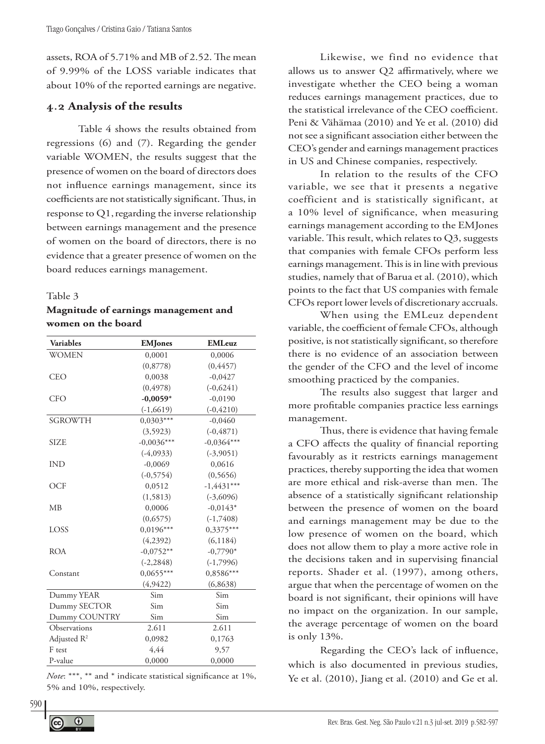assets, ROA of 5.71% and MB of 2.52. The mean of 9.99% of the LOSS variable indicates that about 10% of the reported earnings are negative.

#### **4.2 Analysis of the results**

Table 4 shows the results obtained from regressions (6) and (7). Regarding the gender variable WOMEN, the results suggest that the presence of women on the board of directors does not influence earnings management, since its coefficients are not statistically significant. Thus, in response to  $Q1$ , regarding the inverse relationship between earnings management and the presence of women on the board of directors, there is no evidence that a greater presence of women on the board reduces earnings management.

#### Table 3

#### **Magnitude of earnings management and women on the board**

| <b>Variables</b> | <b>EMJones</b> | <b>EMLeuz</b> |  |
|------------------|----------------|---------------|--|
| <b>WOMEN</b>     | 0,0001         | 0,0006        |  |
|                  | (0,8778)       | (0,4457)      |  |
| <b>CEO</b>       | 0,0038         | $-0,0427$     |  |
|                  | (0, 4978)      | $(-0,6241)$   |  |
| <b>CFO</b>       | $-0,0059*$     | $-0,0190$     |  |
|                  | $(-1,6619)$    | $(-0, 4210)$  |  |
| <b>SGROWTH</b>   | $0,0303***$    | $-0,0460$     |  |
|                  | (3,5923)       | $(-0, 4871)$  |  |
| <b>SIZE</b>      | $-0,0036***$   | $-0,0364***$  |  |
|                  | $(-4,0933)$    | $(-3,9051)$   |  |
| <b>IND</b>       | $-0,0069$      | 0,0616        |  |
|                  | $(-0, 5754)$   | (0, 5656)     |  |
| <b>OCF</b>       | 0,0512         | $-1,4431***$  |  |
|                  | (1, 5813)      | $(-3,6096)$   |  |
| MB               | 0,0006         | $-0.0143*$    |  |
|                  | (0,6575)       | $(-1,7408)$   |  |
| LOSS             | $0,0196***$    | $0,3375***$   |  |
|                  | (4,2392)       | (6, 1184)     |  |
| <b>ROA</b>       | $-0.0752**$    | $-0,7790*$    |  |
|                  | $(-2, 2848)$   | $(-1,7996)$   |  |
| Constant         | $0,0655***$    | $0,8586***$   |  |
|                  | (4,9422)       | (6,8638)      |  |
| Dummy YEAR       | Sim            | Sim           |  |
| Dummy SECTOR     | Sim            | Sim           |  |
| Dummy COUNTRY    | Sim            | Sim           |  |
| Observations     | 2.611          | 2.611         |  |
| Adjusted $R^2$   | 0,0982         | 0,1763        |  |
| F test           | 4,44           | 9,57          |  |
| P-value          | 0,0000         | 0,0000        |  |

*Note*: \*\*\*, \*\* and \* indicate statistical significance at 1%, 5% and 10%, respectively.

 $\odot$ 

Likewise, we find no evidence that allows us to answer Q2 affirmatively, where we investigate whether the CEO being a woman reduces earnings management practices, due to the statistical irrelevance of the CEO coefficient. Peni & Vähämaa (2010) and Ye et al. (2010) did not see a significant association either between the CEO's gender and earnings management practices in US and Chinese companies, respectively.

In relation to the results of the CFO variable, we see that it presents a negative coefficient and is statistically significant, at a 10% level of significance, when measuring earnings management according to the EMJones variable. This result, which relates to Q3, suggests that companies with female CFOs perform less earnings management. This is in line with previous studies, namely that of Barua et al. (2010), which points to the fact that US companies with female CFOs report lower levels of discretionary accruals.

When using the EMLeuz dependent variable, the coefficient of female CFOs, although positive, is not statistically significant, so therefore there is no evidence of an association between the gender of the CFO and the level of income smoothing practiced by the companies.

The results also suggest that larger and more profitable companies practice less earnings management.

Thus, there is evidence that having female a CFO affects the quality of financial reporting favourably as it restricts earnings management practices, thereby supporting the idea that women are more ethical and risk-averse than men. The absence of a statistically significant relationship between the presence of women on the board and earnings management may be due to the low presence of women on the board, which does not allow them to play a more active role in the decisions taken and in supervising financial reports. Shader et al. (1997), among others, argue that when the percentage of women on the board is not significant, their opinions will have no impact on the organization. In our sample, the average percentage of women on the board is only 13%.

Regarding the CEO's lack of influence, which is also documented in previous studies, Ye et al. (2010), Jiang et al. (2010) and Ge et al.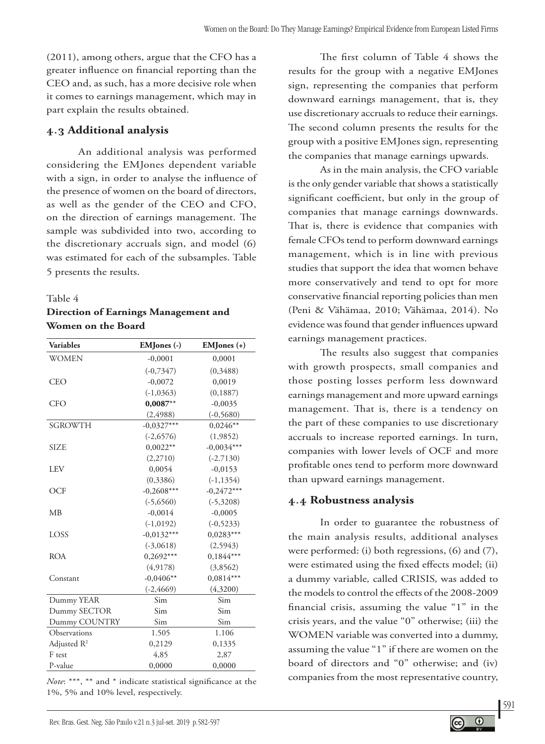(2011), among others, argue that the CFO has a greater influence on financial reporting than the CEO and, as such, has a more decisive role when it comes to earnings management, which may in part explain the results obtained.

### **4.3 Additional analysis**

An additional analysis was performed considering the EMJones dependent variable with a sign, in order to analyse the influence of the presence of women on the board of directors, as well as the gender of the CEO and CFO, on the direction of earnings management. The sample was subdivided into two, according to the discretionary accruals sign, and model (6) was estimated for each of the subsamples. Table 5 presents the results.

#### Table 4

### **Direction of Earnings Management and Women on the Board**

| <b>Variables</b>        | EMJones (-)  | $EMJones (+)$ |
|-------------------------|--------------|---------------|
| <b>WOMEN</b>            | $-0,0001$    | 0,0001        |
|                         | $(-0, 7347)$ | (0,3488)      |
| CEO                     | $-0,0072$    | 0,0019        |
|                         | $(-1,0363)$  | (0, 1887)     |
| <b>CFO</b>              | $0,0087***$  | $-0,0035$     |
|                         | (2, 4988)    | $(-0, 5680)$  |
| <b>SGROWTH</b>          | $-0,0327***$ | $0,0246**$    |
|                         | $(-2,6576)$  | (1,9852)      |
| <b>SIZE</b>             | $0,0022**$   | $-0,0034***$  |
|                         | (2,2710)     | $(-2.7130)$   |
| <b>LEV</b>              | 0,0054       | $-0,0153$     |
|                         | (0,3386)     | $(-1, 1354)$  |
| OCF                     | $-0,2608***$ | $-0,2472***$  |
|                         | $(-5,6560)$  | $(-5,3208)$   |
| МB                      | $-0,0014$    | $-0,0005$     |
|                         | $(-1, 0192)$ | $(-0, 5233)$  |
| LOSS                    | $-0,0132***$ | $0,0283***$   |
|                         | $(-3,0618)$  | (2,5943)      |
| <b>ROA</b>              | $0,2692***$  | $0,1844***$   |
|                         | (4, 9178)    | (3,8562)      |
| Constant                | $-0,0406**$  | $0,0814***$   |
|                         | $(-2, 4669)$ | (4,3200)      |
| Dummy YEAR              | Sim          | Sim           |
| Dummy SECTOR            | Sim          | Sim           |
| Dummy COUNTRY           | Sim          | Sim           |
| Observations            | 1.505        | 1.106         |
| Adjusted $\mathbb{R}^2$ | 0,2129       | 0,1335        |
| F test                  | 4,85         | 2,87          |
| P-value                 | 0,0000       | 0,0000        |

*Note*: \*\*\*, \*\* and \* indicate statistical significance at the 1%, 5% and 10% level, respectively.

The first column of Table 4 shows the results for the group with a negative EMJones sign, representing the companies that perform downward earnings management, that is, they use discretionary accruals to reduce their earnings. The second column presents the results for the group with a positive EMJones sign, representing the companies that manage earnings upwards.

As in the main analysis, the CFO variable is the only gender variable that shows a statistically significant coefficient, but only in the group of companies that manage earnings downwards. That is, there is evidence that companies with female CFOs tend to perform downward earnings management, which is in line with previous studies that support the idea that women behave more conservatively and tend to opt for more conservative financial reporting policies than men (Peni & Vähämaa, 2010; Vähämaa, 2014). No evidence was found that gender influences upward earnings management practices.

The results also suggest that companies with growth prospects, small companies and those posting losses perform less downward earnings management and more upward earnings management. That is, there is a tendency on the part of these companies to use discretionary accruals to increase reported earnings. In turn, companies with lower levels of OCF and more profitable ones tend to perform more downward than upward earnings management.

# **4.4 Robustness analysis**

In order to guarantee the robustness of the main analysis results, additional analyses were performed: (i) both regressions, (6) and (7), were estimated using the fixed effects model; (ii) a dummy variable*,* called CRISIS*,* was added to the models to control the effects of the 2008-2009 financial crisis, assuming the value "1" in the crisis years, and the value "0" otherwise; (iii) the WOMEN variable was converted into a dummy, assuming the value "1" if there are women on the board of directors and "0" otherwise; and (iv) companies from the most representative country,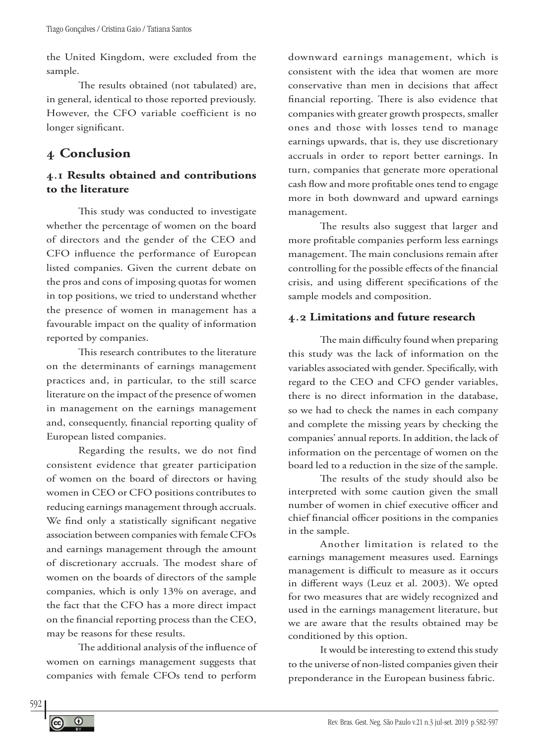the United Kingdom, were excluded from the sample.

The results obtained (not tabulated) are, in general, identical to those reported previously. However, the CFO variable coefficient is no longer significant.

# **4 Conclusion**

# **4.1 Results obtained and contributions to the literature**

This study was conducted to investigate whether the percentage of women on the board of directors and the gender of the CEO and CFO influence the performance of European listed companies. Given the current debate on the pros and cons of imposing quotas for women in top positions, we tried to understand whether the presence of women in management has a favourable impact on the quality of information reported by companies.

This research contributes to the literature on the determinants of earnings management practices and, in particular, to the still scarce literature on the impact of the presence of women in management on the earnings management and, consequently, financial reporting quality of European listed companies.

Regarding the results, we do not find consistent evidence that greater participation of women on the board of directors or having women in CEO or CFO positions contributes to reducing earnings management through accruals. We find only a statistically significant negative association between companies with female CFOs and earnings management through the amount of discretionary accruals. The modest share of women on the boards of directors of the sample companies, which is only 13% on average, and the fact that the CFO has a more direct impact on the financial reporting process than the CEO, may be reasons for these results.

The additional analysis of the influence of women on earnings management suggests that companies with female CFOs tend to perform

downward earnings management, which is consistent with the idea that women are more conservative than men in decisions that affect financial reporting. There is also evidence that companies with greater growth prospects, smaller ones and those with losses tend to manage earnings upwards, that is, they use discretionary accruals in order to report better earnings. In turn, companies that generate more operational cash flow and more profitable ones tend to engage more in both downward and upward earnings management.

The results also suggest that larger and more profitable companies perform less earnings management. The main conclusions remain after controlling for the possible effects of the financial crisis, and using different specifications of the sample models and composition.

### **4.2 Limitations and future research**

The main difficulty found when preparing this study was the lack of information on the variables associated with gender. Specifically, with regard to the CEO and CFO gender variables, there is no direct information in the database, so we had to check the names in each company and complete the missing years by checking the companies' annual reports. In addition, the lack of information on the percentage of women on the board led to a reduction in the size of the sample.

The results of the study should also be interpreted with some caution given the small number of women in chief executive officer and chief financial officer positions in the companies in the sample.

Another limitation is related to the earnings management measures used. Earnings management is difficult to measure as it occurs in different ways (Leuz et al. 2003). We opted for two measures that are widely recognized and used in the earnings management literature, but we are aware that the results obtained may be conditioned by this option.

It would be interesting to extend this study to the universe of non-listed companies given their preponderance in the European business fabric.

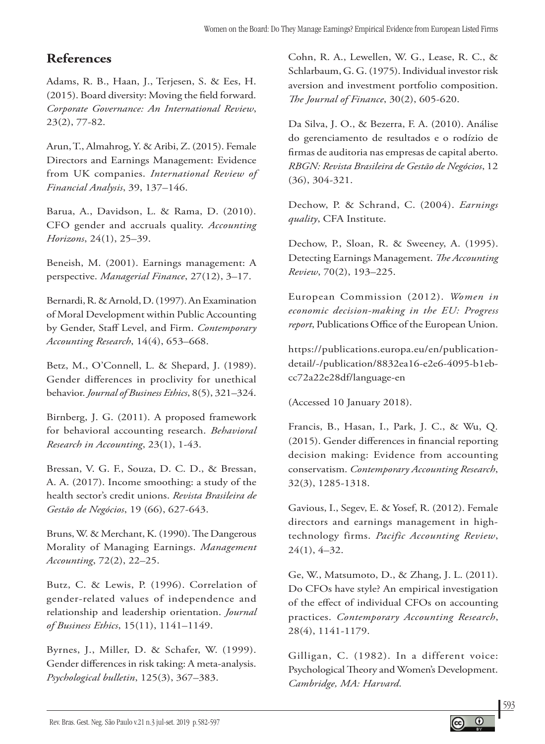# **References**

Adams, R. B., Haan, J., Terjesen, S. & Ees, H. (2015). Board diversity: Moving the field forward. *Corporate Governance: An International Review*, 23(2), 77-82.

Arun, T., Almahrog, Y. & Aribi, Z. (2015). Female Directors and Earnings Management: Evidence from UK companies. *International Review of Financial Analysis*, 39, 137–146.

Barua, A., Davidson, L. & Rama, D. (2010). CFO gender and accruals quality. *Accounting Horizons*, 24(1), 25–39.

Beneish, M. (2001). Earnings management: A perspective. *Managerial Finance*, 27(12), 3–17.

Bernardi, R. & Arnold, D. (1997). An Examination of Moral Development within Public Accounting by Gender, Staff Level, and Firm. *Contemporary Accounting Research*, 14(4), 653–668.

Betz, M., O'Connell, L. & Shepard, J. (1989). Gender differences in proclivity for unethical behavior. *Journal of Business Ethics*, 8(5), 321–324.

Birnberg, J. G. (2011). A proposed framework for behavioral accounting research. *Behavioral Research in Accounting*, 23(1), 1-43.

Bressan, V. G. F., Souza, D. C. D., & Bressan, A. A. (2017). Income smoothing: a study of the health sector's credit unions. *Revista Brasileira de Gestão de Negócios*, 19 (66), 627-643.

Bruns, W. & Merchant, K. (1990). The Dangerous Morality of Managing Earnings. *Management Accounting*, 72(2), 22–25.

Butz, C. & Lewis, P. (1996). Correlation of gender-related values of independence and relationship and leadership orientation. *Journal of Business Ethics*, 15(11), 1141–1149.

Byrnes, J., Miller, D. & Schafer, W. (1999). Gender differences in risk taking: A meta-analysis. *Psychological bulletin*, 125(3), 367–383.

Cohn, R. A., Lewellen, W. G., Lease, R. C., & Schlarbaum, G. G. (1975). Individual investor risk aversion and investment portfolio composition. *The Journal of Finance*, 30(2), 605-620.

Da Silva, J. O., & Bezerra, F. A. (2010). Análise do gerenciamento de resultados e o rodízio de firmas de auditoria nas empresas de capital aberto. *RBGN: Revista Brasileira de Gestão de Negócios*, 12 (36), 304-321.

Dechow, P. & Schrand, C. (2004). *Earnings quality*, CFA Institute.

Dechow, P., Sloan, R. & Sweeney, A. (1995). Detecting Earnings Management. *The Accounting Review*, 70(2), 193–225.

European Commission (2012). *Women in economic decision-making in the EU: Progress report*, Publications Office of the European Union.

https://publications.europa.eu/en/publicationdetail/-/publication/8832ea16-e2e6-4095-b1ebcc72a22e28df/language-en

(Accessed 10 January 2018).

Francis, B., Hasan, I., Park, J. C., & Wu, Q. (2015). Gender differences in financial reporting decision making: Evidence from accounting conservatism. *Contemporary Accounting Research*, 32(3), 1285-1318.

Gavious, I., Segev, E. & Yosef, R. (2012). Female directors and earnings management in hightechnology firms. *Pacific Accounting Review*, 24(1), 4–32.

Ge, W., Matsumoto, D., & Zhang, J. L. (2011). Do CFOs have style? An empirical investigation of the effect of individual CFOs on accounting practices. *Contemporary Accounting Research*, 28(4), 1141-1179.

Gilligan, C. (1982). In a different voice: Psychological Theory and Women's Development. *Cambridge, MA: Harvard*.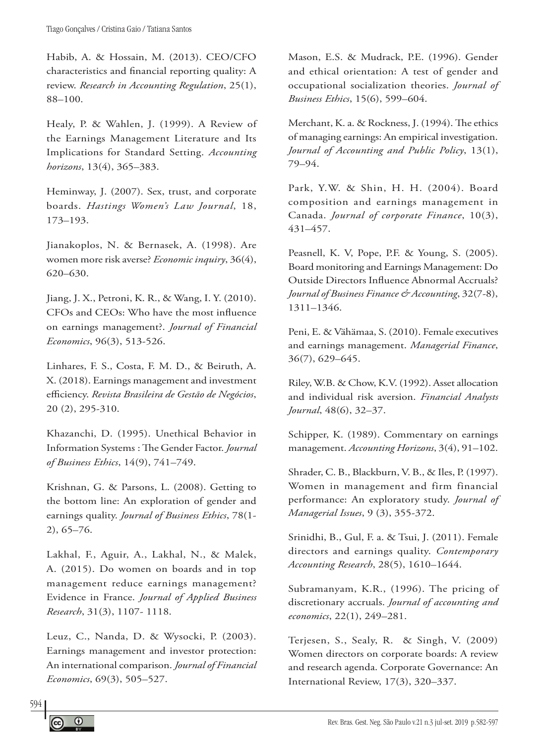Habib, A. & Hossain, M. (2013). CEO/CFO characteristics and financial reporting quality: A review. *Research in Accounting Regulation*, 25(1), 88–100.

Healy, P. & Wahlen, J. (1999). A Review of the Earnings Management Literature and Its Implications for Standard Setting. *Accounting horizons*, 13(4), 365–383.

Heminway, J. (2007). Sex, trust, and corporate boards. *Hastings Women's Law Journal*, 18, 173–193.

Jianakoplos, N. & Bernasek, A. (1998). Are women more risk averse? *Economic inquiry*, 36(4), 620–630.

Jiang, J. X., Petroni, K. R., & Wang, I. Y. (2010). CFOs and CEOs: Who have the most influence on earnings management?. *Journal of Financial Economics*, 96(3), 513-526.

Linhares, F. S., Costa, F. M. D., & Beiruth, A. X. (2018). Earnings management and investment efficiency. *Revista Brasileira de Gestão de Negócios*, 20 (2), 295-310.

Khazanchi, D. (1995). Unethical Behavior in Information Systems : The Gender Factor. *Journal of Business Ethics*, 14(9), 741–749.

Krishnan, G. & Parsons, L. (2008). Getting to the bottom line: An exploration of gender and earnings quality. *Journal of Business Ethics*, 78(1- 2), 65–76.

Lakhal, F., Aguir, A., Lakhal, N., & Malek, A. (2015). Do women on boards and in top management reduce earnings management? Evidence in France. *Journal of Applied Business Research*, 31(3), 1107- 1118.

Leuz, C., Nanda, D. & Wysocki, P. (2003). Earnings management and investor protection: An international comparison. *Journal of Financial Economics*, 69(3), 505–527.

Mason, E.S. & Mudrack, P.E. (1996). Gender and ethical orientation: A test of gender and occupational socialization theories. *Journal of Business Ethics*, 15(6), 599–604.

Merchant, K. a. & Rockness, J. (1994). The ethics of managing earnings: An empirical investigation. *Journal of Accounting and Public Policy*, 13(1), 79–94.

Park, Y.W. & Shin, H. H. (2004). Board composition and earnings management in Canada. *Journal of corporate Finance*, 10(3), 431–457.

Peasnell, K. V, Pope, P.F. & Young, S. (2005). Board monitoring and Earnings Management: Do Outside Directors Influence Abnormal Accruals? *Journal of Business Finance & Accounting*, 32(7-8), 1311–1346.

Peni, E. & Vähämaa, S. (2010). Female executives and earnings management. *Managerial Finance*, 36(7), 629–645.

Riley, W.B. & Chow, K.V. (1992). Asset allocation and individual risk aversion. *Financial Analysts Journal*, 48(6), 32–37.

Schipper, K. (1989). Commentary on earnings management. *Accounting Horizons*, 3(4), 91–102.

Shrader, C. B., Blackburn, V. B., & Iles, P. (1997). Women in management and firm financial performance: An exploratory study. *Journal of Managerial Issues*, 9 (3), 355-372.

Srinidhi, B., Gul, F. a. & Tsui, J. (2011). Female directors and earnings quality. *Contemporary Accounting Research*, 28(5), 1610–1644.

Subramanyam, K.R., (1996). The pricing of discretionary accruals. *Journal of accounting and economics*, 22(1), 249–281.

Terjesen, S., Sealy, R. & Singh, V. (2009) Women directors on corporate boards: A review and research agenda. Corporate Governance: An International Review, 17(3), 320–337.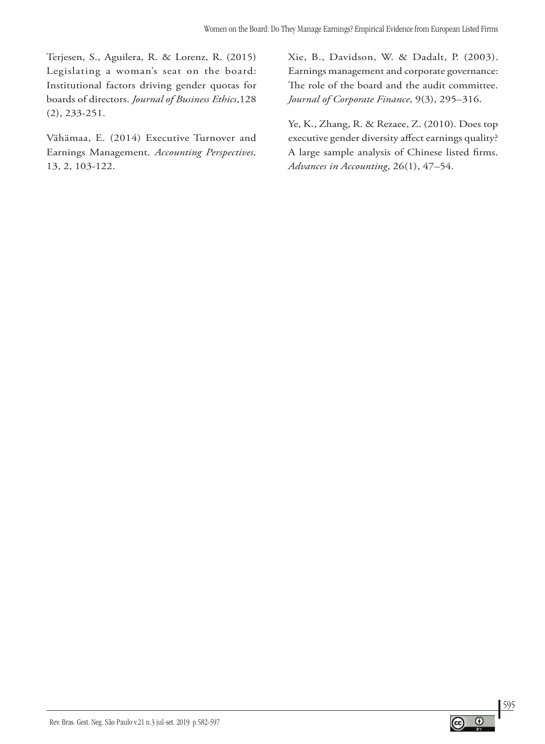Terjesen, S., Aguilera, R. & Lorenz, R. (2015) Legislating a woman's seat on the board: Institutional factors driving gender quotas for boards of directors. *Journal of Business Ethics*,128 (2), 233-251.

Vähämaa, E. (2014) Executive Turnover and Earnings Management. *Accounting Perspectives,* 13, 2, 103-122.

Xie, B., Davidson, W. & Dadalt, P. (2003). Earnings management and corporate governance: The role of the board and the audit committee. *Journal of Corporate Finance*, 9(3), 295–316.

Ye, K., Zhang, R. & Rezaee, Z. (2010). Does top executive gender diversity affect earnings quality? A large sample analysis of Chinese listed firms. *Advances in Accounting*, 26(1), 47–54.

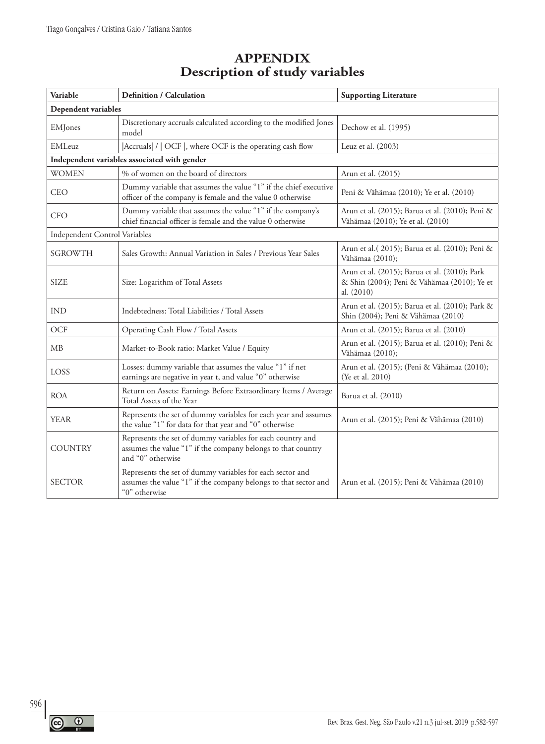# **APPENDIX Description of study variables**

| Variable                      | <b>Definition / Calculation</b>                                                                                                                 | <b>Supporting Literature</b>                                                                               |  |  |
|-------------------------------|-------------------------------------------------------------------------------------------------------------------------------------------------|------------------------------------------------------------------------------------------------------------|--|--|
| Dependent variables           |                                                                                                                                                 |                                                                                                            |  |  |
| EMJones                       | Discretionary accruals calculated according to the modified Jones<br>model                                                                      | Dechow et al. (1995)                                                                                       |  |  |
| EMLeuz                        | Accruals  /   OCF  , where OCF is the operating cash flow                                                                                       | Leuz et al. (2003)                                                                                         |  |  |
|                               | Independent variables associated with gender                                                                                                    |                                                                                                            |  |  |
| <b>WOMEN</b>                  | % of women on the board of directors                                                                                                            | Arun et al. (2015)                                                                                         |  |  |
| CEO                           | Dummy variable that assumes the value "1" if the chief executive<br>officer of the company is female and the value 0 otherwise                  | Peni & Vähämaa (2010); Ye et al. (2010)                                                                    |  |  |
| <b>CFO</b>                    | Dummy variable that assumes the value "1" if the company's<br>chief financial officer is female and the value 0 otherwise                       | Arun et al. (2015); Barua et al. (2010); Peni &<br>Vähämaa (2010); Ye et al. (2010)                        |  |  |
| Independent Control Variables |                                                                                                                                                 |                                                                                                            |  |  |
| <b>SGROWTH</b>                | Sales Growth: Annual Variation in Sales / Previous Year Sales                                                                                   | Arun et al. (2015); Barua et al. (2010); Peni &<br>Vähämaa (2010);                                         |  |  |
| <b>SIZE</b>                   | Size: Logarithm of Total Assets                                                                                                                 | Arun et al. (2015); Barua et al. (2010); Park<br>& Shin (2004); Peni & Vähämaa (2010); Ye et<br>al. (2010) |  |  |
| <b>IND</b>                    | Indebtedness: Total Liabilities / Total Assets                                                                                                  | Arun et al. (2015); Barua et al. (2010); Park &<br>Shin (2004); Peni & Vähämaa (2010)                      |  |  |
| OCF                           | Operating Cash Flow / Total Assets                                                                                                              | Arun et al. (2015); Barua et al. (2010)                                                                    |  |  |
| MB                            | Market-to-Book ratio: Market Value / Equity                                                                                                     | Arun et al. (2015); Barua et al. (2010); Peni &<br>Vähämaa (2010);                                         |  |  |
| LOSS                          | Losses: dummy variable that assumes the value "1" if net<br>earnings are negative in year t, and value "0" otherwise                            | Arun et al. (2015); (Peni & Vähämaa (2010);<br>(Ye et al. 2010)                                            |  |  |
| <b>ROA</b>                    | Return on Assets: Earnings Before Extraordinary Items / Average<br>Total Assets of the Year                                                     | Barua et al. (2010)                                                                                        |  |  |
| <b>YEAR</b>                   | Represents the set of dummy variables for each year and assumes<br>the value "1" for data for that year and "0" otherwise                       | Arun et al. (2015); Peni & Vähämaa (2010)                                                                  |  |  |
| <b>COUNTRY</b>                | Represents the set of dummy variables for each country and<br>assumes the value "1" if the company belongs to that country<br>and "0" otherwise |                                                                                                            |  |  |
| <b>SECTOR</b>                 | Represents the set of dummy variables for each sector and<br>assumes the value "1" if the company belongs to that sector and<br>"0" otherwise   | Arun et al. (2015); Peni & Vähämaa (2010)                                                                  |  |  |